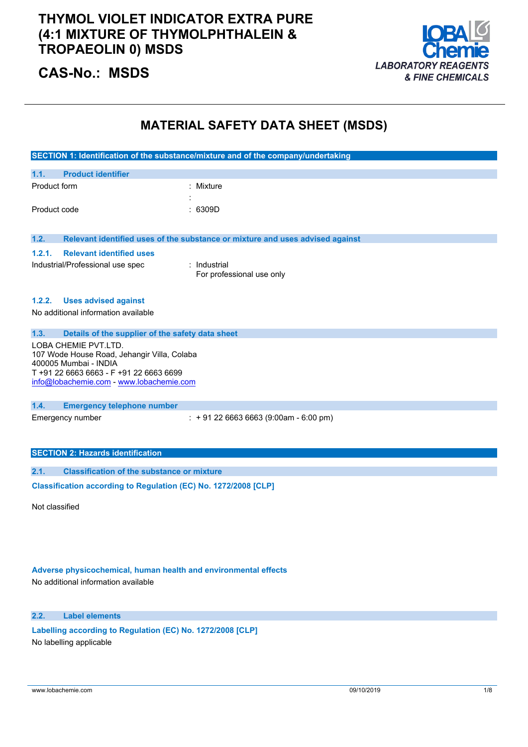### **THYMOL VIOLET INDICATOR EXTRA PURE (4:1 MIXTURE OF THYMOLPHTHALEIN & TROPAEOLIN 0) MSDS**



## **CAS-No.: MSDS**

### **MATERIAL SAFETY DATA SHEET (MSDS)**

|                                                                  | SECTION 1: Identification of the substance/mixture and of the company/undertaking |
|------------------------------------------------------------------|-----------------------------------------------------------------------------------|
|                                                                  |                                                                                   |
| 1.1.<br><b>Product identifier</b>                                |                                                                                   |
| Product form                                                     | : Mixture                                                                         |
|                                                                  |                                                                                   |
| Product code                                                     | : 6309D                                                                           |
|                                                                  |                                                                                   |
| 1.2.                                                             | Relevant identified uses of the substance or mixture and uses advised against     |
| 1.2.1.<br><b>Relevant identified uses</b>                        |                                                                                   |
| Industrial/Professional use spec                                 | Industrial                                                                        |
|                                                                  | For professional use only                                                         |
|                                                                  |                                                                                   |
| <b>Uses advised against</b><br>1.2.2.                            |                                                                                   |
| No additional information available                              |                                                                                   |
|                                                                  |                                                                                   |
| 1.3.<br>Details of the supplier of the safety data sheet         |                                                                                   |
| LOBA CHEMIE PVT.LTD.                                             |                                                                                   |
| 107 Wode House Road, Jehangir Villa, Colaba                      |                                                                                   |
| 400005 Mumbai - INDIA<br>T +91 22 6663 6663 - F +91 22 6663 6699 |                                                                                   |
| info@lobachemie.com - www.lobachemie.com                         |                                                                                   |
|                                                                  |                                                                                   |
| 1.4.<br><b>Emergency telephone number</b>                        |                                                                                   |
| Emergency number                                                 | $\div$ + 91 22 6663 6663 (9:00am - 6:00 pm)                                       |
|                                                                  |                                                                                   |
|                                                                  |                                                                                   |
| <b>SECTION 2: Hazards identification</b>                         |                                                                                   |
| <b>Classification of the substance or mixture</b><br>2.1.        |                                                                                   |
|                                                                  |                                                                                   |
| Classification according to Regulation (EC) No. 1272/2008 [CLP]  |                                                                                   |

Not classified

### **Adverse physicochemical, human health and environmental effects**

No additional information available

### **2.2. Label elements**

**Labelling according** to Regulation (EC) No. 1272/2008 [CLP] No labelling applicable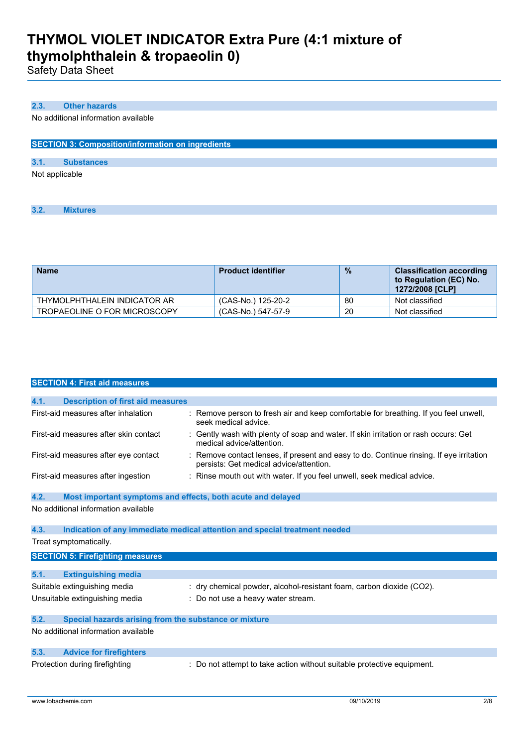Safety Data Sheet

### **2.3. Other hazards**

No additional information available

| <b>SECTION 3: Composition/information on ingredients</b> |  |
|----------------------------------------------------------|--|
|                                                          |  |

| 3.1. | <b>Substances</b> |  |
|------|-------------------|--|
|      | Not applicable    |  |

**3.2. Mixtures**

| <b>Name</b>                  | <b>Product identifier</b> | $\frac{9}{6}$ | <b>Classification according</b><br>to Regulation (EC) No.<br>1272/2008 [CLP] |
|------------------------------|---------------------------|---------------|------------------------------------------------------------------------------|
| THYMOLPHTHALEIN INDICATOR AR | (CAS-No.) 125-20-2        | 80            | Not classified                                                               |
| TROPAEOLINE O FOR MICROSCOPY | (CAS-No.) 547-57-9        | 20            | Not classified                                                               |

|      | <b>SECTION 4: First aid measures</b>                        |                                                                                                                                    |
|------|-------------------------------------------------------------|------------------------------------------------------------------------------------------------------------------------------------|
|      |                                                             |                                                                                                                                    |
| 4.1. | <b>Description of first aid measures</b>                    |                                                                                                                                    |
|      | First-aid measures after inhalation                         | : Remove person to fresh air and keep comfortable for breathing. If you feel unwell,<br>seek medical advice.                       |
|      | First-aid measures after skin contact                       | : Gently wash with plenty of soap and water. If skin irritation or rash occurs: Get<br>medical advice/attention.                   |
|      | First-aid measures after eye contact                        | : Remove contact lenses, if present and easy to do. Continue rinsing. If eye irritation<br>persists: Get medical advice/attention. |
|      | First-aid measures after ingestion                          | : Rinse mouth out with water. If you feel unwell, seek medical advice.                                                             |
| 4.2. | Most important symptoms and effects, both acute and delayed |                                                                                                                                    |
|      | No additional information available                         |                                                                                                                                    |
| 4.3. |                                                             | Indication of any immediate medical attention and special treatment needed                                                         |
|      | Treat symptomatically.                                      |                                                                                                                                    |
|      | <b>SECTION 5: Firefighting measures</b>                     |                                                                                                                                    |
|      |                                                             |                                                                                                                                    |
| 5.1. | <b>Extinguishing media</b>                                  |                                                                                                                                    |
|      | Suitable extinguishing media                                | : dry chemical powder, alcohol-resistant foam, carbon dioxide (CO2).                                                               |
|      | Unsuitable extinguishing media                              | : Do not use a heavy water stream.                                                                                                 |
| 5.2. | Special hazards arising from the substance or mixture       |                                                                                                                                    |
|      | No additional information available                         |                                                                                                                                    |
| 5.3. | <b>Advice for firefighters</b>                              |                                                                                                                                    |
|      | Protection during firefighting                              | : Do not attempt to take action without suitable protective equipment.                                                             |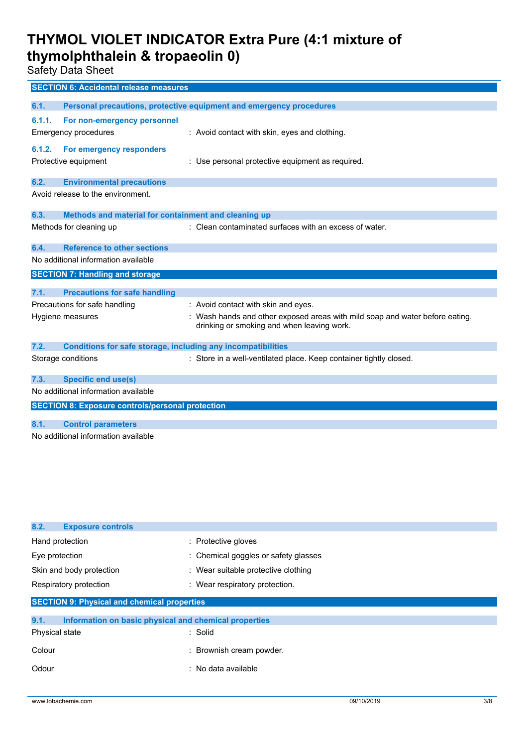Safety Data Sheet

| <b>SECTION 6: Accidental release measures</b>                       |                                                                              |  |
|---------------------------------------------------------------------|------------------------------------------------------------------------------|--|
| 6.1.                                                                | Personal precautions, protective equipment and emergency procedures          |  |
| For non-emergency personnel<br>6.1.1.                               |                                                                              |  |
| Emergency procedures                                                | : Avoid contact with skin, eyes and clothing.                                |  |
|                                                                     |                                                                              |  |
| For emergency responders<br>6.1.2.<br>Protective equipment          | : Use personal protective equipment as required.                             |  |
|                                                                     |                                                                              |  |
| 6.2.<br><b>Environmental precautions</b>                            |                                                                              |  |
| Avoid release to the environment.                                   |                                                                              |  |
| 6.3.                                                                |                                                                              |  |
| Methods and material for containment and cleaning up                |                                                                              |  |
| Methods for cleaning up                                             | : Clean contaminated surfaces with an excess of water.                       |  |
| <b>Reference to other sections</b><br>6.4.                          |                                                                              |  |
| No additional information available                                 |                                                                              |  |
| <b>SECTION 7: Handling and storage</b>                              |                                                                              |  |
| 7.1.<br><b>Precautions for safe handling</b>                        |                                                                              |  |
| Precautions for safe handling                                       | : Avoid contact with skin and eyes.                                          |  |
| Hygiene measures                                                    | : Wash hands and other exposed areas with mild soap and water before eating, |  |
|                                                                     | drinking or smoking and when leaving work.                                   |  |
| 7.2.                                                                |                                                                              |  |
| <b>Conditions for safe storage, including any incompatibilities</b> |                                                                              |  |
| Storage conditions                                                  | : Store in a well-ventilated place. Keep container tightly closed.           |  |
| <b>Specific end use(s)</b><br>7.3.                                  |                                                                              |  |
| No additional information available                                 |                                                                              |  |
| <b>SECTION 8: Exposure controls/personal protection</b>             |                                                                              |  |
| 8.1.<br><b>Control parameters</b>                                   |                                                                              |  |
| No additional information available                                 |                                                                              |  |
|                                                                     |                                                                              |  |

| 8.2.<br><b>Exposure controls</b>                              |                                      |
|---------------------------------------------------------------|--------------------------------------|
| Hand protection                                               | : Protective gloves                  |
| Eye protection                                                | : Chemical goggles or safety glasses |
| Skin and body protection                                      | : Wear suitable protective clothing  |
| Respiratory protection                                        | : Wear respiratory protection.       |
| <b>SECTION 9: Physical and chemical properties</b>            |                                      |
| 9.1.<br>Information on basic physical and chemical properties |                                      |
| Physical state                                                | : Solid                              |
| Colour                                                        | : Brownish cream powder.             |
| Odour                                                         | : No data available                  |
|                                                               |                                      |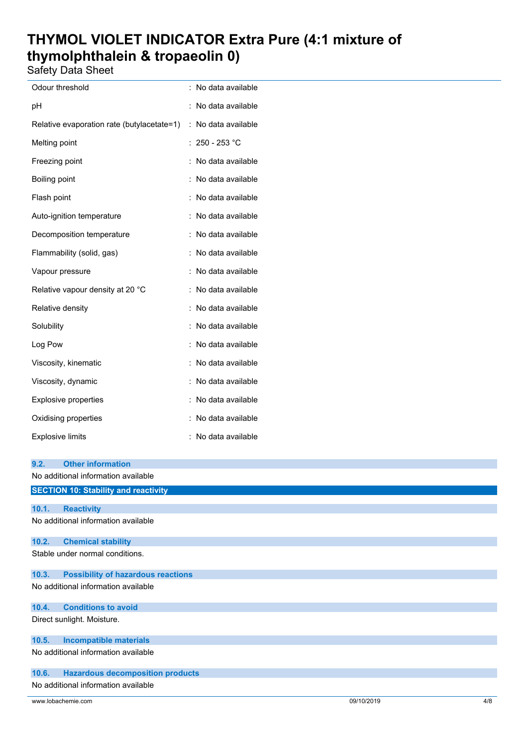Safety Data Sheet

| Odour threshold                            | t                    | No data available |
|--------------------------------------------|----------------------|-------------------|
| рH                                         |                      | No data available |
| Relative evaporation rate (butylacetate=1) | $\ddot{\cdot}$       | No data available |
| Melting point                              |                      | 250 - 253 °C      |
| Freezing point                             |                      | No data available |
| Boiling point                              |                      | No data available |
| Flash point                                |                      | No data available |
| Auto-ignition temperature                  |                      | No data available |
| Decomposition temperature                  |                      | No data available |
| Flammability (solid, gas)                  |                      | No data available |
| Vapour pressure                            |                      | No data available |
| Relative vapour density at 20 °C           | $\ddot{\phantom{0}}$ | No data available |
| Relative density                           |                      | No data available |
| Solubility                                 |                      | No data available |
| Log Pow                                    |                      | No data available |
| Viscosity, kinematic                       |                      | No data available |
| Viscosity, dynamic                         |                      | No data available |
| <b>Explosive properties</b>                |                      | No data available |
| Oxidising properties                       |                      | No data available |
| <b>Explosive limits</b>                    |                      | No data available |

| 9.2.  | <b>Other information</b>                    |
|-------|---------------------------------------------|
|       | No additional information available         |
|       | <b>SECTION 10: Stability and reactivity</b> |
| 10.1. | <b>Reactivity</b>                           |
|       | No additional information available         |
| 10.2. | <b>Chemical stability</b>                   |
|       | Stable under normal conditions.             |
| 10.3. | <b>Possibility of hazardous reactions</b>   |
|       | No additional information available         |
| 10.4. | <b>Conditions to avoid</b>                  |
|       | Direct sunlight. Moisture.                  |
| 10.5. | <b>Incompatible materials</b>               |
|       | No additional information available         |
| 10.6. | <b>Hazardous decomposition products</b>     |
|       | No additional information available         |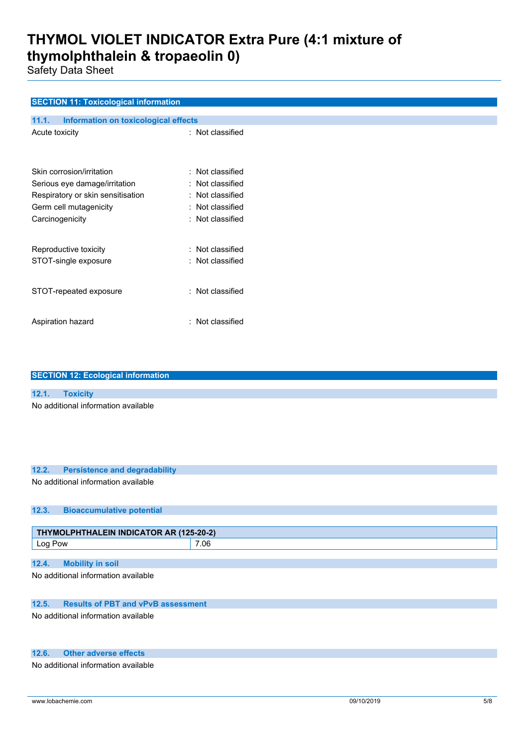Safety Data Sheet

### **SECTION 11: Toxicological information**

| 11.1.<br>Information on toxicological effects               |                                      |
|-------------------------------------------------------------|--------------------------------------|
| Acute toxicity                                              | : Not classified                     |
| Skin corrosion/irritation<br>Serious eye damage/irritation  | : Not classified<br>Not classified   |
| Respiratory or skin sensitisation<br>Germ cell mutagenicity | : Not classified<br>: Not classified |
| Carcinogenicity                                             | $\colon$ Not classified              |
| Reproductive toxicity<br>STOT-single exposure               | : Not classified<br>: Not classified |
| STOT-repeated exposure                                      | : Not classified                     |
| Aspiration hazard                                           | : Not classified                     |

| <b>SECTION 12: Ecological information</b>          |      |
|----------------------------------------------------|------|
|                                                    |      |
| 12.1.<br><b>Toxicity</b>                           |      |
| No additional information available                |      |
| 12.2.<br><b>Persistence and degradability</b>      |      |
| No additional information available                |      |
| 12.3.<br><b>Bioaccumulative potential</b>          |      |
|                                                    |      |
| THYMOLPHTHALEIN INDICATOR AR (125-20-2)            |      |
| Log Pow                                            | 7.06 |
| <b>Mobility in soil</b><br>12.4.                   |      |
| No additional information available                |      |
| <b>Results of PBT and vPvB assessment</b><br>12.5. |      |
| No additional information available                |      |
| <b>Other adverse effects</b><br>12.6.              |      |
| No additional information available                |      |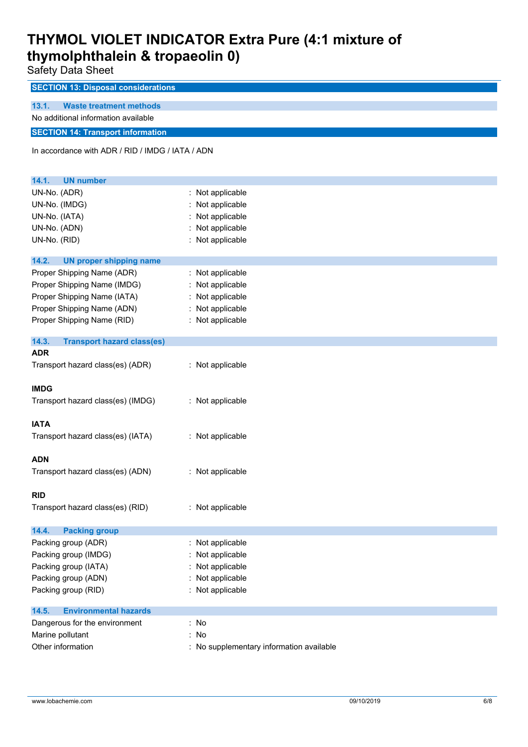Safety Data Sheet

| <b>SECTION 13: Disposal considerations</b>       |                                          |  |
|--------------------------------------------------|------------------------------------------|--|
| 13.1.<br><b>Waste treatment methods</b>          |                                          |  |
| No additional information available              |                                          |  |
| <b>SECTION 14: Transport information</b>         |                                          |  |
| In accordance with ADR / RID / IMDG / IATA / ADN |                                          |  |
| 14.1.<br><b>UN number</b>                        |                                          |  |
| UN-No. (ADR)                                     | Not applicable                           |  |
| UN-No. (IMDG)                                    | Not applicable                           |  |
| UN-No. (IATA)                                    | Not applicable                           |  |
| UN-No. (ADN)                                     | Not applicable                           |  |
| UN-No. (RID)                                     | : Not applicable                         |  |
| 14.2.<br><b>UN proper shipping name</b>          |                                          |  |
| Proper Shipping Name (ADR)                       | Not applicable                           |  |
| Proper Shipping Name (IMDG)                      | Not applicable                           |  |
| Proper Shipping Name (IATA)                      | Not applicable                           |  |
| Proper Shipping Name (ADN)                       | Not applicable                           |  |
| Proper Shipping Name (RID)                       | : Not applicable                         |  |
| 14.3.<br><b>Transport hazard class(es)</b>       |                                          |  |
| <b>ADR</b>                                       |                                          |  |
| Transport hazard class(es) (ADR)                 | : Not applicable                         |  |
| <b>IMDG</b>                                      |                                          |  |
| Transport hazard class(es) (IMDG)                | : Not applicable                         |  |
|                                                  |                                          |  |
| <b>IATA</b>                                      |                                          |  |
| Transport hazard class(es) (IATA)                | : Not applicable                         |  |
| <b>ADN</b>                                       |                                          |  |
| Transport hazard class(es) (ADN)                 | : Not applicable                         |  |
|                                                  |                                          |  |
| <b>RID</b>                                       |                                          |  |
| Transport hazard class(es) (RID)                 | : Not applicable                         |  |
| 14.4.<br><b>Packing group</b>                    |                                          |  |
| Packing group (ADR)                              | : Not applicable                         |  |
| Packing group (IMDG)                             | Not applicable                           |  |
| Packing group (IATA)                             | Not applicable                           |  |
| Packing group (ADN)                              | Not applicable                           |  |
| Packing group (RID)                              | Not applicable                           |  |
| 14.5.<br><b>Environmental hazards</b>            |                                          |  |
| Dangerous for the environment                    | : No                                     |  |
| Marine pollutant                                 | No                                       |  |
| Other information                                | : No supplementary information available |  |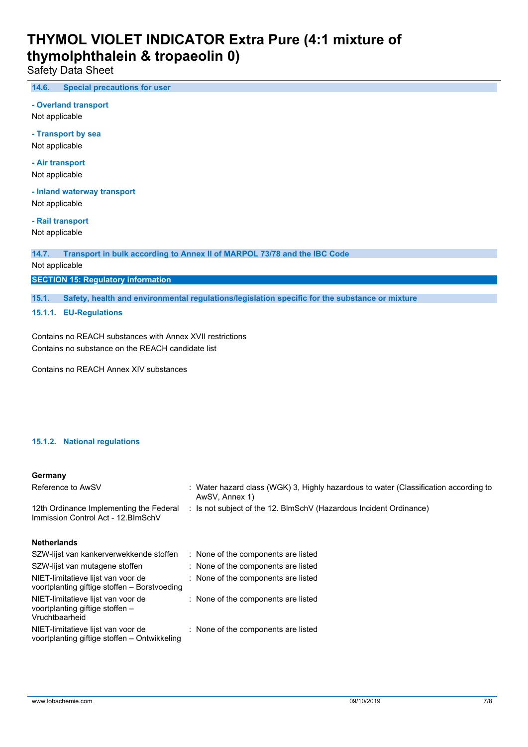Safety Data Sheet

**14.6. Special precautions for user**

**- Overland transport**

Not applicable

**- Transport by sea** Not applicable

**- Air transport**

Not applicable

**- Inland waterway transport** Not applicable

**- Rail transport**

Not applicable

**14.7. Transport in bulk according to Annex II of MARPOL 73/78 and the IBC Code**

Not applicable

**SECTION 15: Regulatory information**

**15.1. Safety, health and environmental regulations/legislation specific for the substance or mixture**

**15.1.1. EU-Regulations**

Contains no REACH substances with Annex XVII restrictions Contains no substance on the REACH candidate list

Contains no REACH Annex XIV substances

#### **15.1.2. National regulations**

#### **Germany**

| Reference to AwSV                                                                       | : Water hazard class (WGK) 3, Highly hazardous to water (Classification according to<br>AwSV, Annex 1) |
|-----------------------------------------------------------------------------------------|--------------------------------------------------------------------------------------------------------|
| 12th Ordinance Implementing the Federal<br>Immission Control Act - 12. BlmSchV          | : Is not subject of the 12. BlmSchV (Hazardous Incident Ordinance)                                     |
| <b>Netherlands</b>                                                                      |                                                                                                        |
| SZW-lijst van kankerverwekkende stoffen                                                 | : None of the components are listed                                                                    |
| SZW-lijst van mutagene stoffen                                                          | : None of the components are listed                                                                    |
| NIET-limitatieve lijst van voor de<br>voortplanting giftige stoffen – Borstvoeding      | : None of the components are listed                                                                    |
| NIET-limitatieve lijst van voor de<br>voortplanting giftige stoffen -<br>Vruchtbaarheid | : None of the components are listed                                                                    |
| NIET-limitatieve lijst van voor de<br>voortplanting giftige stoffen – Ontwikkeling      | : None of the components are listed                                                                    |